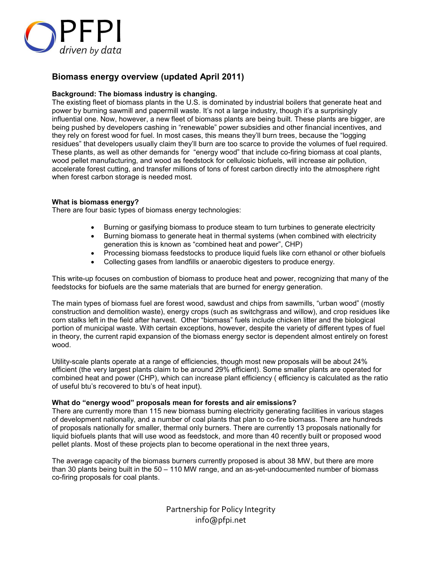

# **Biomass energy overview (updated April 2011)**

# **Background: The biomass industry is changing.**

The existing fleet of biomass plants in the U.S. is dominated by industrial boilers that generate heat and power by burning sawmill and papermill waste. It's not a large industry, though it's a surprisingly influential one. Now, however, a new fleet of biomass plants are being built. These plants are bigger, are being pushed by developers cashing in "renewable" power subsidies and other financial incentives, and they rely on forest wood for fuel. In most cases, this means they'll burn trees, because the "logging residues" that developers usually claim they'll burn are too scarce to provide the volumes of fuel required. These plants, as well as other demands for "energy wood" that include co-firing biomass at coal plants, wood pellet manufacturing, and wood as feedstock for cellulosic biofuels, will increase air pollution, accelerate forest cutting, and transfer millions of tons of forest carbon directly into the atmosphere right when forest carbon storage is needed most.

# **What is biomass energy?**

There are four basic types of biomass energy technologies:

- Burning or gasifying biomass to produce steam to turn turbines to generate electricity
- Burning biomass to generate heat in thermal systems (when combined with electricity generation this is known as "combined heat and power", CHP)
- Processing biomass feedstocks to produce liquid fuels like corn ethanol or other biofuels
- Collecting gases from landfills or anaerobic digesters to produce energy.

This write-up focuses on combustion of biomass to produce heat and power, recognizing that many of the feedstocks for biofuels are the same materials that are burned for energy generation.

The main types of biomass fuel are forest wood, sawdust and chips from sawmills, "urban wood" (mostly construction and demolition waste), energy crops (such as switchgrass and willow), and crop residues like corn stalks left in the field after harvest. Other "biomass" fuels include chicken litter and the biological portion of municipal waste. With certain exceptions, however, despite the variety of different types of fuel in theory, the current rapid expansion of the biomass energy sector is dependent almost entirely on forest wood.

Utility-scale plants operate at a range of efficiencies, though most new proposals will be about 24% efficient (the very largest plants claim to be around 29% efficient). Some smaller plants are operated for combined heat and power (CHP), which can increase plant efficiency ( efficiency is calculated as the ratio of useful btu's recovered to btu's of heat input).

## **What do "energy wood" proposals mean for forests and air emissions?**

There are currently more than 115 new biomass burning electricity generating facilities in various stages of development nationally, and a number of coal plants that plan to co-fire biomass. There are hundreds of proposals nationally for smaller, thermal only burners. There are currently 13 proposals nationally for liquid biofuels plants that will use wood as feedstock, and more than 40 recently built or proposed wood pellet plants. Most of these projects plan to become operational in the next three years,

The average capacity of the biomass burners currently proposed is about 38 MW, but there are more than 30 plants being built in the 50 – 110 MW range, and an as-yet-undocumented number of biomass co-firing proposals for coal plants.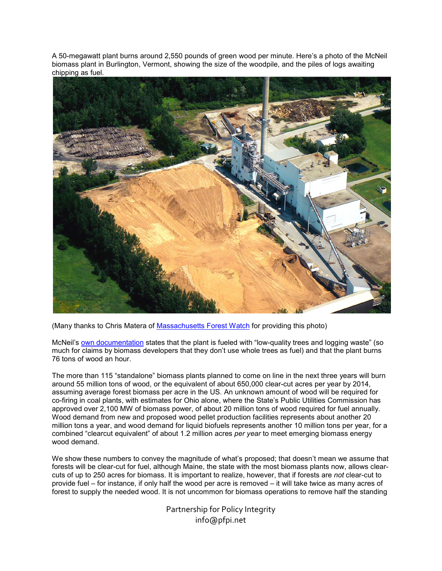A 50-megawatt plant burns around 2,550 pounds of green wood per minute. Here's a photo of the McNeil biomass plant in Burlington, Vermont, showing the size of the woodpile, and the piles of logs awaiting chipping as fuel.



(Many thanks to Chris Matera of Massachusetts Forest Watch for providing this photo)

McNeil's own documentation states that the plant is fueled with "low-quality trees and logging waste" (so much for claims by biomass developers that they don't use whole trees as fuel) and that the plant burns 76 tons of wood an hour.

The more than 115 "standalone" biomass plants planned to come on line in the next three years will burn around 55 million tons of wood, or the equivalent of about 650,000 clear-cut acres per year by 2014, assuming average forest biomass per acre in the US. An unknown amount of wood will be required for co-firing in coal plants, with estimates for Ohio alone, where the State's Public Utilities Commission has approved over 2,100 MW of biomass power, of about 20 million tons of wood required for fuel annually. Wood demand from new and proposed wood pellet production facilities represents about another 20 million tons a year, and wood demand for liquid biofuels represents another 10 million tons per year, for a combined "clearcut equivalent" of about 1.2 million acres *per year* to meet emerging biomass energy wood demand.

We show these numbers to convey the magnitude of what's proposed; that doesn't mean we assume that forests will be clear-cut for fuel, although Maine, the state with the most biomass plants now, allows clearcuts of up to 250 acres for biomass. It is important to realize, however, that if forests are *not* clear-cut to provide fuel – for instance, if only half the wood per acre is removed – it will take twice as many acres of forest to supply the needed wood. It is not uncommon for biomass operations to remove half the standing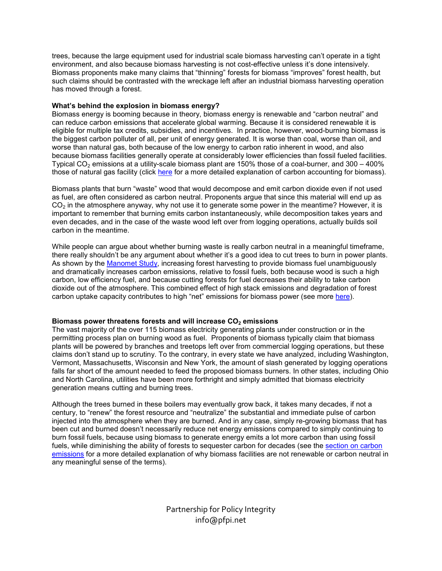trees, because the large equipment used for industrial scale biomass harvesting can't operate in a tight environment, and also because biomass harvesting is not cost-effective unless it's done intensively. Biomass proponents make many claims that "thinning" forests for biomass "improves" forest health, but such claims should be contrasted with the wreckage left after an industrial biomass harvesting operation has moved through a forest.

## **What's behind the explosion in biomass energy?**

Biomass energy is booming because in theory, biomass energy is renewable and "carbon neutral" and can reduce carbon emissions that accelerate global warming. Because it is considered renewable it is eligible for multiple tax credits, subsidies, and incentives. In practice, however, wood-burning biomass is the biggest carbon polluter of all, per unit of energy generated. It is worse than coal, worse than oil, and worse than natural gas, both because of the low energy to carbon ratio inherent in wood, and also because biomass facilities generally operate at considerably lower efficiencies than fossil fueled facilities. Typical CO<sub>2</sub> emissions at a utility-scale biomass plant are 150% those of a coal-burner, and 300 – 400% those of natural gas facility (click here for a more detailed explanation of carbon accounting for biomass).

Biomass plants that burn "waste" wood that would decompose and emit carbon dioxide even if not used as fuel, are often considered as carbon neutral. Proponents argue that since this material will end up as  $CO<sub>2</sub>$  in the atmosphere anyway, why not use it to generate some power in the meantime? However, it is important to remember that burning emits carbon instantaneously, while decomposition takes years and even decades, and in the case of the waste wood left over from logging operations, actually builds soil carbon in the meantime.

While people can argue about whether burning waste is really carbon neutral in a meaningful timeframe, there really shouldn't be any argument about whether it's a good idea to cut trees to burn in power plants. As shown by the Manomet Study, increasing forest harvesting to provide biomass fuel unambiguously and dramatically increases carbon emissions, relative to fossil fuels, both because wood is such a high carbon, low efficiency fuel, and because cutting forests for fuel decreases their ability to take carbon dioxide out of the atmosphere. This combined effect of high stack emissions and degradation of forest carbon uptake capacity contributes to high "net" emissions for biomass power (see more here).

## **Biomass power threatens forests and will increase CO2 emissions**

The vast majority of the over 115 biomass electricity generating plants under construction or in the permitting process plan on burning wood as fuel. Proponents of biomass typically claim that biomass plants will be powered by branches and treetops left over from commercial logging operations, but these claims don't stand up to scrutiny. To the contrary, in every state we have analyzed, including Washington, Vermont, Massachusetts, Wisconsin and New York, the amount of slash generated by logging operations falls far short of the amount needed to feed the proposed biomass burners. In other states, including Ohio and North Carolina, utilities have been more forthright and simply admitted that biomass electricity generation means cutting and burning trees.

Although the trees burned in these boilers may eventually grow back, it takes many decades, if not a century, to "renew" the forest resource and "neutralize" the substantial and immediate pulse of carbon injected into the atmosphere when they are burned. And in any case, simply re-growing biomass that has been cut and burned doesn't necessarily reduce net energy emissions compared to simply continuing to burn fossil fuels, because using biomass to generate energy emits a lot more carbon than using fossil fuels, while diminishing the ability of forests to sequester carbon for decades (see the section on carbon emissions for a more detailed explanation of why biomass facilities are not renewable or carbon neutral in any meaningful sense of the terms).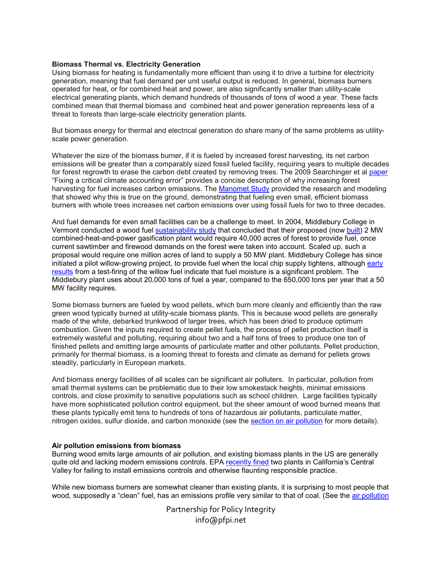#### **Biomass Thermal vs. Electricity Generation**

Using biomass for heating is fundamentally more efficient than using it to drive a turbine for electricity generation, meaning that fuel demand per unit useful output is reduced. In general, biomass burners operated for heat, or for combined heat and power, are also significantly smaller than utility-scale electrical generating plants, which demand hundreds of thousands of tons of wood a year. These facts combined mean that thermal biomass and combined heat and power generation represents less of a threat to forests than large-scale electricity generation plants.

But biomass energy for thermal and electrical generation do share many of the same problems as utilityscale power generation.

Whatever the size of the biomass burner, if it is fueled by increased forest harvesting, its net carbon emissions will be greater than a comparably sized fossil fueled facility, requiring years to multiple decades for forest regrowth to erase the carbon debt created by removing trees. The 2009 Searchinger et al paper "Fixing a critical climate accounting error" provides a concise description of why increasing forest harvesting for fuel increases carbon emissions. The Manomet Study provided the research and modeling that showed why this is true on the ground, demonstrating that fueling even small, efficient biomass burners with whole trees increases net carbon emissions over using fossil fuels for two to three decades.

And fuel demands for even small facilities can be a challenge to meet. In 2004, Middlebury College in Vermont conducted a wood fuel sustainability study that concluded that their proposed (now built) 2 MW combined-heat-and-power gasification plant would require 40,000 acres of forest to provide fuel, once current sawtimber and firewood demands on the forest were taken into account. Scaled up, such a proposal would require one million acres of land to supply a 50 MW plant. Middlebury College has since initiated a pilot willow-growing project, to provide fuel when the local chip supply tightens, although early results from a test-firing of the willow fuel indicate that fuel moisture is a significant problem. The Middlebury plant uses about 20,000 tons of fuel a year, compared to the 650,000 tons per year that a 50 MW facility requires.

Some biomass burners are fueled by wood pellets, which burn more cleanly and efficiently than the raw green wood typically burned at utility-scale biomass plants. This is because wood pellets are generally made of the white, debarked trunkwood of larger trees, which has been dried to produce optimum combustion. Given the inputs required to create pellet fuels, the process of pellet production itself is extremely wasteful and polluting, requiring about two and a half tons of trees to produce one ton of finished pellets and emitting large amounts of particulate matter and other pollutants. Pellet production, primarily for thermal biomass, is a looming threat to forests and climate as demand for pellets grows steadily, particularly in European markets.

And biomass energy facilities of all scales can be significant air polluters. In particular, pollution from small thermal systems can be problematic due to their low smokestack heights, minimal emissions controls, and close proximity to sensitive populations such as school children. Large facilities typically have more sophisticated pollution control equipment, but the sheer amount of wood burned means that these plants typically emit tens to hundreds of tons of hazardous air pollutants, particulate matter, nitrogen oxides, sulfur dioxide, and carbon monoxide (see the section on air pollution for more details).

## **Air pollution emissions from biomass**

Burning wood emits large amounts of air pollution, and existing biomass plants in the US are generally quite old and lacking modern emissions controls. EPA recently fined two plants in California's Central Valley for failing to install emissions controls and otherwise flaunting responsible practice.

While new biomass burners are somewhat cleaner than existing plants, it is surprising to most people that wood, supposedly a "clean" fuel, has an emissions profile very similar to that of coal. (See the air pollution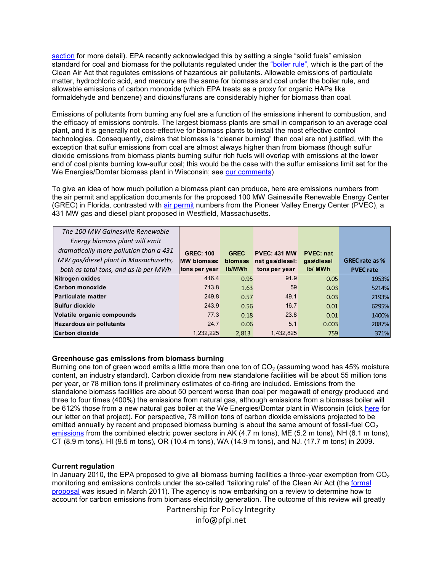section for more detail). EPA recently acknowledged this by setting a single "solid fuels" emission standard for coal and biomass for the pollutants regulated under the "boiler rule", which is the part of the Clean Air Act that regulates emissions of hazardous air pollutants. Allowable emissions of particulate matter, hydrochloric acid, and mercury are the same for biomass and coal under the boiler rule, and allowable emissions of carbon monoxide (which EPA treats as a proxy for organic HAPs like formaldehyde and benzene) and dioxins/furans are considerably higher for biomass than coal.

Emissions of pollutants from burning any fuel are a function of the emissions inherent to combustion, and the efficacy of emissions controls. The largest biomass plants are small in comparison to an average coal plant, and it is generally not cost-effective for biomass plants to install the most effective control technologies. Consequently, claims that biomass is "cleaner burning" than coal are not justified, with the exception that sulfur emissions from coal are almost always higher than from biomass (though sulfur dioxide emissions from biomass plants burning sulfur rich fuels will overlap with emissions at the lower end of coal plants burning low-sulfur coal; this would be the case with the sulfur emissions limit set for the We Energies/Domtar biomass plant in Wisconsin; see our comments)

To give an idea of how much pollution a biomass plant can produce, here are emissions numbers from the air permit and application documents for the proposed 100 MW Gainesville Renewable Energy Center (GREC) in Florida, contrasted with air permit numbers from the Pioneer Valley Energy Center (PVEC), a 431 MW gas and diesel plant proposed in Westfield, Massachusetts.

| The 100 MW Gainesville Renewable       |                     |                |                     |                  |                       |
|----------------------------------------|---------------------|----------------|---------------------|------------------|-----------------------|
| Energy biomass plant will emit         |                     |                |                     |                  |                       |
| dramatically more pollution than a 431 | <b>GREC: 100</b>    | <b>GREC</b>    | <b>PVEC: 431 MW</b> | <b>PVEC: nat</b> |                       |
| MW gas/diesel plant in Massachusetts,  | <b>IMW</b> biomass: | <b>biomass</b> | nat gas/diesel:     | gas/diesel       | <b>GREC</b> rate as % |
| both as total tons, and as Ib per MWh  | tons per year       | Ib/MWh         | tons per year       | <b>Ib/ MWh</b>   | <b>PVEC rate</b>      |
| Nitrogen oxides                        | 416.4               | 0.95           | 91.9                | 0.05             | 1953%                 |
| Carbon monoxide                        | 713.8               | 1.63           | 59                  | 0.03             | 5214%                 |
| <b>Particulate matter</b>              | 249.8               | 0.57           | 49.1                | 0.03             | 2193%                 |
| Sulfur dioxide                         | 243.9               | 0.56           | 16.7                | 0.01             | 6295%                 |
| Volatile organic compounds             | 77.3                | 0.18           | 23.8                | 0.01             | 1400%                 |
| <b>Hazardous air pollutants</b>        | 24.7                | 0.06           | 5.1                 | 0.003            | 2087%                 |
| Carbon dioxide                         | 1,232,225           | 2.813          | 1,432,825           | 759              | 371%                  |

# **Greenhouse gas emissions from biomass burning**

Burning one ton of green wood emits a little more than one ton of  $CO<sub>2</sub>$  (assuming wood has 45% moisture content, an industry standard). Carbon dioxide from new standalone facilities will be about 55 million tons per year, or 78 million tons if preliminary estimates of co-firing are included. Emissions from the standalone biomass facilities are about 50 percent worse than coal per megawatt of energy produced and three to four times (400%) the emissions from natural gas, although emissions from a biomass boiler will be 612% those from a new natural gas boiler at the We Energies/Domtar plant in Wisconsin (click here for our letter on that project). For perspective, 78 million tons of carbon dioxide emissions projected to be emitted annually by recent and proposed biomass burning is about the same amount of fossil-fuel  $CO<sub>2</sub>$ emissions from the combined electric power sectors in AK (4.7 m tons), ME (5.2 m tons), NH (6.1 m tons), CT (8.9 m tons), HI (9.5 m tons), OR (10.4 m tons), WA (14.9 m tons), and NJ. (17.7 m tons) in 2009.

## **Current regulation**

In January 2010, the EPA proposed to give all biomass burning facilities a three-year exemption from  $CO<sub>2</sub>$ monitoring and emissions controls under the so-called "tailoring rule" of the Clean Air Act (the formal proposal was issued in March 2011). The agency is now embarking on a review to determine how to account for carbon emissions from biomass electricity generation. The outcome of this review will greatly

Partnership for Policy Integrity

info@pfpi.net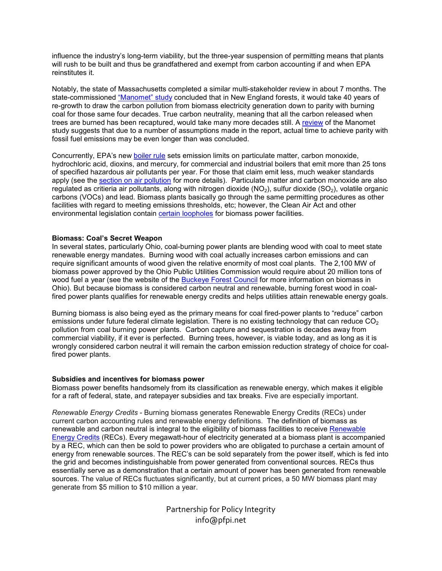influence the industry's long-term viability, but the three-year suspension of permitting means that plants will rush to be built and thus be grandfathered and exempt from carbon accounting if and when EPA reinstitutes it.

Notably, the state of Massachusetts completed a similar multi-stakeholder review in about 7 months. The state-commissioned "Manomet" study concluded that in New England forests, it would take 40 years of re-growth to draw the carbon pollution from biomass electricity generation down to parity with burning coal for those same four decades. True carbon neutrality, meaning that all the carbon released when trees are burned has been recaptured, would take many more decades still. A review of the Manomet study suggests that due to a number of assumptions made in the report, actual time to achieve parity with fossil fuel emissions may be even longer than was concluded.

Concurrently, EPA's new boiler rule sets emission limits on particulate matter, carbon monoxide, hydrochloric acid, dioxins, and mercury, for commercial and industrial boilers that emit more than 25 tons of specified hazardous air pollutants per year. For those that claim emit less, much weaker standards apply (see the section on air pollution for more details). Particulate matter and carbon monoxide are also regulated as critieria air pollutants, along with nitrogen dioxide  $(NO<sub>2</sub>)$ , sulfur dioxide  $(SO<sub>2</sub>)$ , volatile organic carbons (VOCs) and lead. Biomass plants basically go through the same permitting procedures as other facilities with regard to meeting emissions thresholds, etc; however, the Clean Air Act and other environmental legislation contain certain loopholes for biomass power facilities.

#### **Biomass: Coal's Secret Weapon**

In several states, particularly Ohio, coal-burning power plants are blending wood with coal to meet state renewable energy mandates. Burning wood with coal actually increases carbon emissions and can require significant amounts of wood given the relative enormity of most coal plants. The 2,100 MW of biomass power approved by the Ohio Public Utilities Commission would require about 20 million tons of wood fuel a year (see the website of the **Buckeye Forest Council** for more information on biomass in Ohio). But because biomass is considered carbon neutral and renewable, burning forest wood in coalfired power plants qualifies for renewable energy credits and helps utilities attain renewable energy goals.

Burning biomass is also being eyed as the primary means for coal fired-power plants to "reduce" carbon emissions under future federal climate legislation. There is no existing technology that can reduce  $CO<sub>2</sub>$ pollution from coal burning power plants. Carbon capture and sequestration is decades away from commercial viability, if it ever is perfected. Burning trees, however, is viable today, and as long as it is wrongly considered carbon neutral it will remain the carbon emission reduction strategy of choice for coalfired power plants.

#### **Subsidies and incentives for biomass power**

Biomass power benefits handsomely from its classification as renewable energy, which makes it eligible for a raft of federal, state, and ratepayer subsidies and tax breaks. Five are especially important.

*Renewable Energy Credits* - Burning biomass generates Renewable Energy Credits (RECs) under current carbon accounting rules and renewable energy definitions. The definition of biomass as renewable and carbon neutral is integral to the eligibility of biomass facilities to receive Renewable Energy Credits (RECs). Every megawatt-hour of electricity generated at a biomass plant is accompanied by a REC, which can then be sold to power providers who are obligated to purchase a certain amount of energy from renewable sources. The REC's can be sold separately from the power itself, which is fed into the grid and becomes indistinguishable from power generated from conventional sources. RECs thus essentially serve as a demonstration that a certain amount of power has been generated from renewable sources. The value of RECs fluctuates significantly, but at current prices, a 50 MW biomass plant may generate from \$5 million to \$10 million a year.